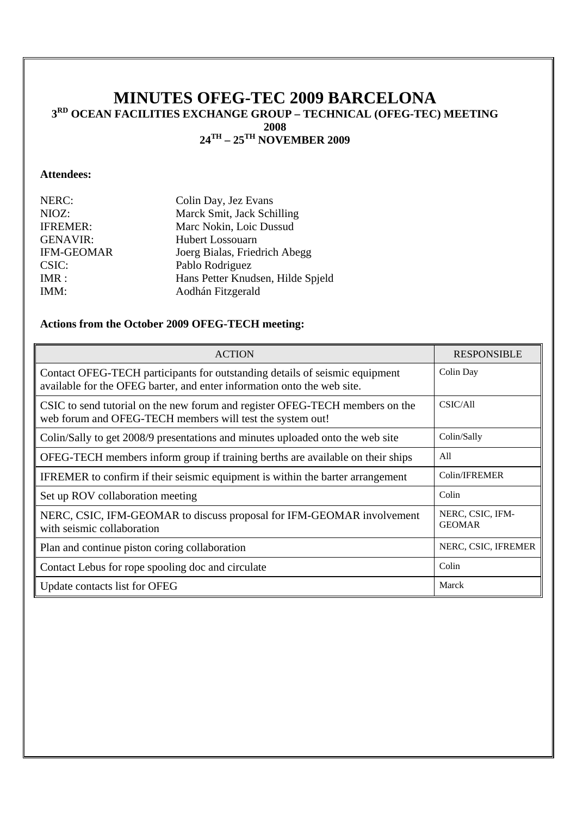# **MINUTES OFEG-TEC 2009 BARCELONA 3RD OCEAN FACILITIES EXCHANGE GROUP – TECHNICAL (OFEG-TEC) MEETING 2008 24TH – 25TH NOVEMBER 2009**

## **Attendees:**

| NERC:             | Colin Day, Jez Evans              |
|-------------------|-----------------------------------|
| NIOZ:             | Marck Smit, Jack Schilling        |
| <b>IFREMER:</b>   | Marc Nokin, Loic Dussud           |
| <b>GENAVIR:</b>   | <b>Hubert Lossouarn</b>           |
| <b>IFM-GEOMAR</b> | Joerg Bialas, Friedrich Abegg     |
| CSIC:             | Pablo Rodriguez                   |
| IMR:              | Hans Petter Knudsen, Hilde Spjeld |
| IMM:              | Aodhán Fitzgerald                 |

## **Actions from the October 2009 OFEG-TECH meeting:**

| <b>ACTION</b>                                                                                                                                          | <b>RESPONSIBLE</b>                |
|--------------------------------------------------------------------------------------------------------------------------------------------------------|-----------------------------------|
| Contact OFEG-TECH participants for outstanding details of seismic equipment<br>available for the OFEG barter, and enter information onto the web site. | Colin Day                         |
| CSIC to send tutorial on the new forum and register OFEG-TECH members on the<br>web forum and OFEG-TECH members will test the system out!              | CSIC/All                          |
| Colin/Sally to get 2008/9 presentations and minutes uploaded onto the web site                                                                         | Colin/Sally                       |
| OFEG-TECH members inform group if training berths are available on their ships                                                                         | All                               |
| IFREMER to confirm if their seismic equipment is within the barter arrangement                                                                         | Colin/IFREMER                     |
| Set up ROV collaboration meeting                                                                                                                       | Colin                             |
| NERC, CSIC, IFM-GEOMAR to discuss proposal for IFM-GEOMAR involvement<br>with seismic collaboration                                                    | NERC, CSIC, IFM-<br><b>GEOMAR</b> |
| Plan and continue piston coring collaboration                                                                                                          | NERC, CSIC, IFREMER               |
| Contact Lebus for rope spooling doc and circulate                                                                                                      | Colin                             |
| Update contacts list for OFEG                                                                                                                          | Marck                             |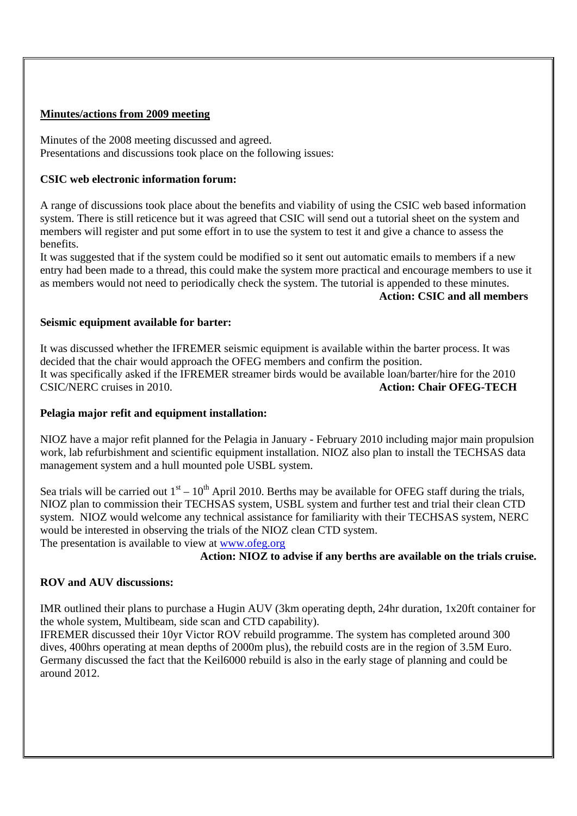### **Minutes/actions from 2009 meeting**

Minutes of the 2008 meeting discussed and agreed. Presentations and discussions took place on the following issues:

### **CSIC web electronic information forum:**

A range of discussions took place about the benefits and viability of using the CSIC web based information system. There is still reticence but it was agreed that CSIC will send out a tutorial sheet on the system and members will register and put some effort in to use the system to test it and give a chance to assess the benefits.

It was suggested that if the system could be modified so it sent out automatic emails to members if a new entry had been made to a thread, this could make the system more practical and encourage members to use it as members would not need to periodically check the system. The tutorial is appended to these minutes.

## **Action: CSIC and all members**

#### **Seismic equipment available for barter:**

It was discussed whether the IFREMER seismic equipment is available within the barter process. It was decided that the chair would approach the OFEG members and confirm the position. It was specifically asked if the IFREMER streamer birds would be available loan/barter/hire for the 2010 CSIC/NERC cruises in 2010. **Action: Chair OFEG-TECH** 

## **Pelagia major refit and equipment installation:**

NIOZ have a major refit planned for the Pelagia in January - February 2010 including major main propulsion work, lab refurbishment and scientific equipment installation. NIOZ also plan to install the TECHSAS data management system and a hull mounted pole USBL system.

Sea trials will be carried out  $1<sup>st</sup> - 10<sup>th</sup>$  April 2010. Berths may be available for OFEG staff during the trials, NIOZ plan to commission their TECHSAS system, USBL system and further test and trial their clean CTD system. NIOZ would welcome any technical assistance for familiarity with their TECHSAS system, NERC would be interested in observing the trials of the NIOZ clean CTD system.

The presentation is available to view at www.ofeg.org

## **Action: NIOZ to advise if any berths are available on the trials cruise.**

## **ROV and AUV discussions:**

IMR outlined their plans to purchase a Hugin AUV (3km operating depth, 24hr duration, 1x20ft container for the whole system, Multibeam, side scan and CTD capability).

IFREMER discussed their 10yr Victor ROV rebuild programme. The system has completed around 300 dives, 400hrs operating at mean depths of 2000m plus), the rebuild costs are in the region of 3.5M Euro. Germany discussed the fact that the Keil6000 rebuild is also in the early stage of planning and could be around 2012.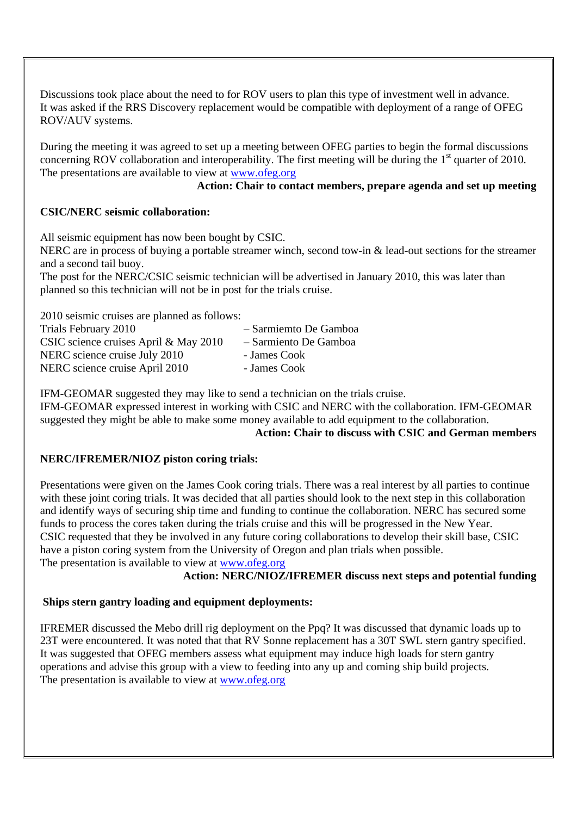Discussions took place about the need to for ROV users to plan this type of investment well in advance. It was asked if the RRS Discovery replacement would be compatible with deployment of a range of OFEG ROV/AUV systems.

During the meeting it was agreed to set up a meeting between OFEG parties to begin the formal discussions concerning ROV collaboration and interoperability. The first meeting will be during the 1<sup>st</sup> quarter of 2010. The presentations are available to view at www.ofeg.org

## **Action: Chair to contact members, prepare agenda and set up meeting**

## **CSIC/NERC seismic collaboration:**

All seismic equipment has now been bought by CSIC. NERC are in process of buying a portable streamer winch, second tow-in & lead-out sections for the streamer and a second tail buoy. The post for the NERC/CSIC seismic technician will be advertised in January 2010, this was later than planned so this technician will not be in post for the trials cruise.

2010 seismic cruises are planned as follows:

| Trials February 2010                  | - Sarmiemto De Gamboa |
|---------------------------------------|-----------------------|
| CSIC science cruises April & May 2010 | - Sarmiento De Gamboa |
| NERC science cruise July 2010         | - James Cook          |
| NERC science cruise April 2010        | - James Cook          |

IFM-GEOMAR suggested they may like to send a technician on the trials cruise. IFM-GEOMAR expressed interest in working with CSIC and NERC with the collaboration. IFM-GEOMAR suggested they might be able to make some money available to add equipment to the collaboration.

# **Action: Chair to discuss with CSIC and German members**

# **NERC/IFREMER/NIOZ piston coring trials:**

Presentations were given on the James Cook coring trials. There was a real interest by all parties to continue with these joint coring trials. It was decided that all parties should look to the next step in this collaboration and identify ways of securing ship time and funding to continue the collaboration. NERC has secured some funds to process the cores taken during the trials cruise and this will be progressed in the New Year. CSIC requested that they be involved in any future coring collaborations to develop their skill base, CSIC have a piston coring system from the University of Oregon and plan trials when possible. The presentation is available to view at www.ofeg.org

## **Action: NERC/NIOZ/IFREMER discuss next steps and potential funding**

## **Ships stern gantry loading and equipment deployments:**

IFREMER discussed the Mebo drill rig deployment on the Ppq? It was discussed that dynamic loads up to 23T were encountered. It was noted that that RV Sonne replacement has a 30T SWL stern gantry specified. It was suggested that OFEG members assess what equipment may induce high loads for stern gantry operations and advise this group with a view to feeding into any up and coming ship build projects. The presentation is available to view at www.ofeg.org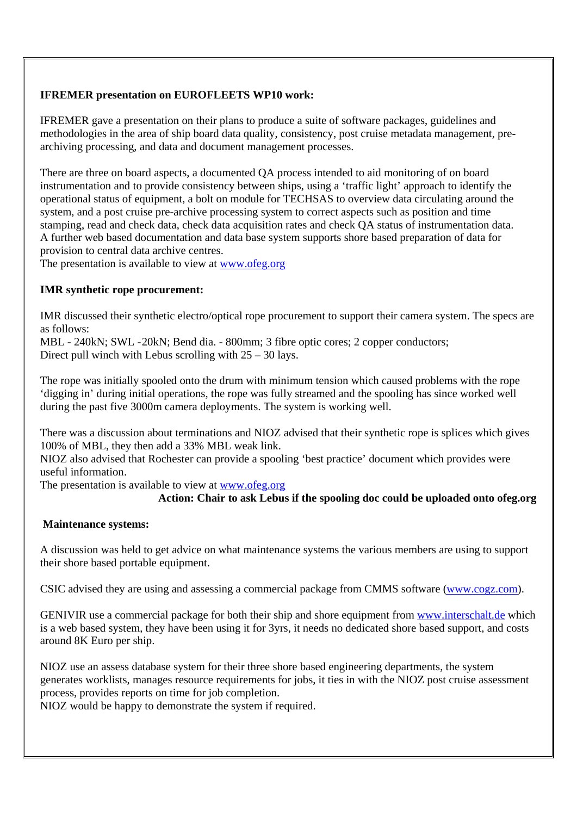## **IFREMER presentation on EUROFLEETS WP10 work:**

IFREMER gave a presentation on their plans to produce a suite of software packages, guidelines and methodologies in the area of ship board data quality, consistency, post cruise metadata management, prearchiving processing, and data and document management processes.

There are three on board aspects, a documented QA process intended to aid monitoring of on board instrumentation and to provide consistency between ships, using a 'traffic light' approach to identify the operational status of equipment, a bolt on module for TECHSAS to overview data circulating around the system, and a post cruise pre-archive processing system to correct aspects such as position and time stamping, read and check data, check data acquisition rates and check QA status of instrumentation data. A further web based documentation and data base system supports shore based preparation of data for provision to central data archive centres.

The presentation is available to view at www.ofeg.org

### **IMR synthetic rope procurement:**

IMR discussed their synthetic electro/optical rope procurement to support their camera system. The specs are as follows:

MBL - 240kN; SWL - 20kN; Bend dia. - 800mm; 3 fibre optic cores; 2 copper conductors; Direct pull winch with Lebus scrolling with  $25 - 30$  lays.

The rope was initially spooled onto the drum with minimum tension which caused problems with the rope 'digging in' during initial operations, the rope was fully streamed and the spooling has since worked well during the past five 3000m camera deployments. The system is working well.

There was a discussion about terminations and NIOZ advised that their synthetic rope is splices which gives 100% of MBL, they then add a 33% MBL weak link.

NIOZ also advised that Rochester can provide a spooling 'best practice' document which provides were useful information.

The presentation is available to view at www.ofeg.org

## **Action: Chair to ask Lebus if the spooling doc could be uploaded onto ofeg.org**

#### **Maintenance systems:**

A discussion was held to get advice on what maintenance systems the various members are using to support their shore based portable equipment.

CSIC advised they are using and assessing a commercial package from CMMS software (www.cogz.com).

GENIVIR use a commercial package for both their ship and shore equipment from www.interschalt.de which is a web based system, they have been using it for 3yrs, it needs no dedicated shore based support, and costs around 8K Euro per ship.

NIOZ use an assess database system for their three shore based engineering departments, the system generates worklists, manages resource requirements for jobs, it ties in with the NIOZ post cruise assessment process, provides reports on time for job completion.

NIOZ would be happy to demonstrate the system if required.